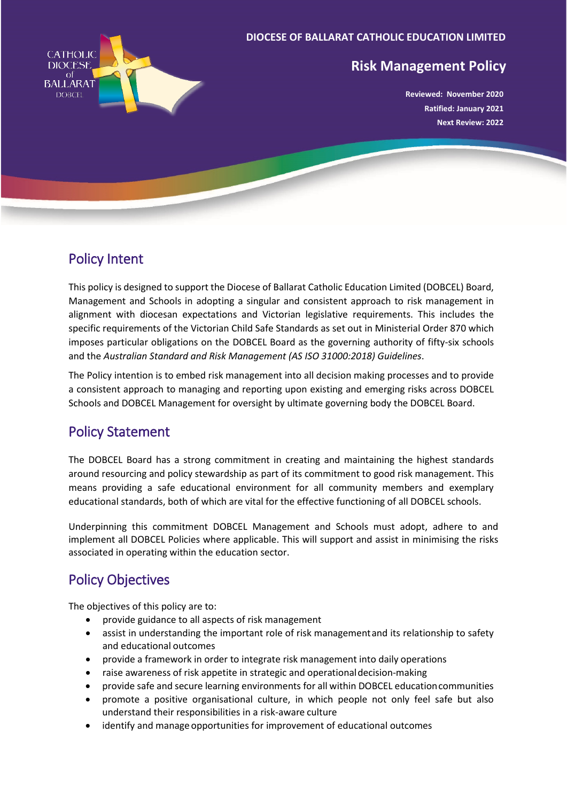

#### **DIOCESE OF BALLARAT CATHOLIC EDUCATION LIMITED**

### **Risk Management Policy**

**Reviewed: November 2020 Ratified: January 2021 Next Review: 2022**

## Policy Intent

This policy is designed to support the Diocese of Ballarat Catholic Education Limited (DOBCEL) Board, Management and Schools in adopting a singular and consistent approach to risk management in alignment with diocesan expectations and Victorian legislative requirements. This includes the specific requirements of the Victorian Child Safe Standards as set out in Ministerial Order 870 which imposes particular obligations on the DOBCEL Board as the governing authority of fifty-six schools and the *Australian Standard and Risk Management (AS ISO 31000:2018) Guidelines*.

The Policy intention is to embed risk management into all decision making processes and to provide a consistent approach to managing and reporting upon existing and emerging risks across DOBCEL Schools and DOBCEL Management for oversight by ultimate governing body the DOBCEL Board.

## Policy Statement

The DOBCEL Board has a strong commitment in creating and maintaining the highest standards around resourcing and policy stewardship as part of its commitment to good risk management. This means providing a safe educational environment for all community members and exemplary educational standards, both of which are vital for the effective functioning of all DOBCEL schools.

Underpinning this commitment DOBCEL Management and Schools must adopt, adhere to and implement all DOBCEL Policies where applicable. This will support and assist in minimising the risks associated in operating within the education sector.

## Policy Objectives

The objectives of this policy are to:

- provide guidance to all aspects of risk management
- assist in understanding the important role of risk managementand its relationship to safety and educational outcomes
- provide a framework in order to integrate risk management into daily operations
- raise awareness of risk appetite in strategic and operationaldecision-making
- provide safe and secure learning environments for all within DOBCEL educationcommunities
- promote a positive organisational culture, in which people not only feel safe but also understand their responsibilities in a risk-aware culture
- identify and manage opportunities for improvement of educational outcomes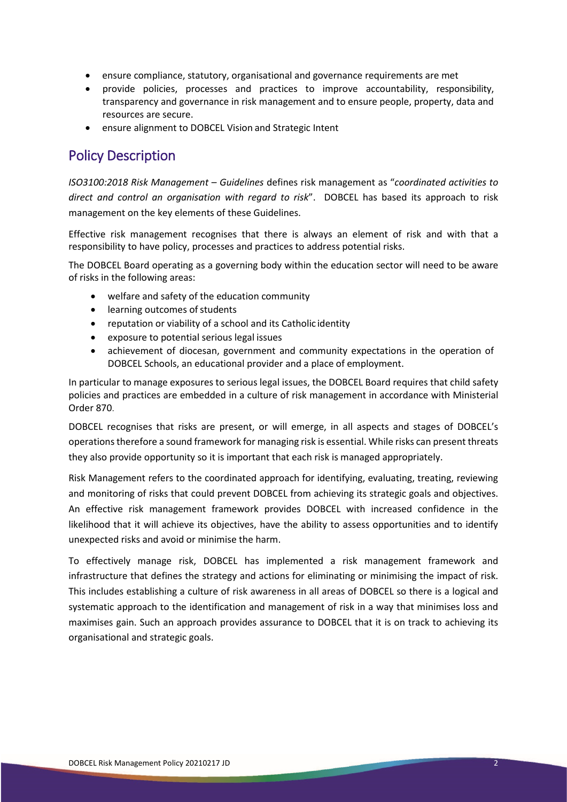- ensure compliance, statutory, organisational and governance requirements are met
- provide policies, processes and practices to improve accountability, responsibility, transparency and governance in risk management and to ensure people, property, data and resources are secure.
- ensure alignment to DOBCEL Vision and Strategic Intent

## Policy Description

*ISO3100:2018 Risk Management – Guidelines* defines risk management as "*coordinated activities to direct and control an organisation with regard to risk*". DOBCEL has based its approach to risk management on the key elements of these Guidelines.

Effective risk management recognises that there is always an element of risk and with that a responsibility to have policy, processes and practices to address potential risks.

The DOBCEL Board operating as a governing body within the education sector will need to be aware of risks in the following areas:

- welfare and safety of the education community
- learning outcomes of students
- reputation or viability of a school and its Catholic identity
- exposure to potential serious legal issues
- achievement of diocesan, government and community expectations in the operation of DOBCEL Schools, an educational provider and a place of employment.

In particular to manage exposures to serious legal issues, the DOBCEL Board requires that child safety policies and practices are embedded in a culture of risk management in accordance with Ministerial Order 870.

DOBCEL recognises that risks are present, or will emerge, in all aspects and stages of DOBCEL's operationstherefore a sound framework for managing risk is essential. While risks can present threats they also provide opportunity so it is important that each risk is managed appropriately.

Risk Management refers to the coordinated approach for identifying, evaluating, treating, reviewing and monitoring of risks that could prevent DOBCEL from achieving its strategic goals and objectives. An effective risk management framework provides DOBCEL with increased confidence in the likelihood that it will achieve its objectives, have the ability to assess opportunities and to identify unexpected risks and avoid or minimise the harm.

To effectively manage risk, DOBCEL has implemented a risk management framework and infrastructure that defines the strategy and actions for eliminating or minimising the impact of risk. This includes establishing a culture of risk awareness in all areas of DOBCEL so there is a logical and systematic approach to the identification and management of risk in a way that minimises loss and maximises gain. Such an approach provides assurance to DOBCEL that it is on track to achieving its organisational and strategic goals.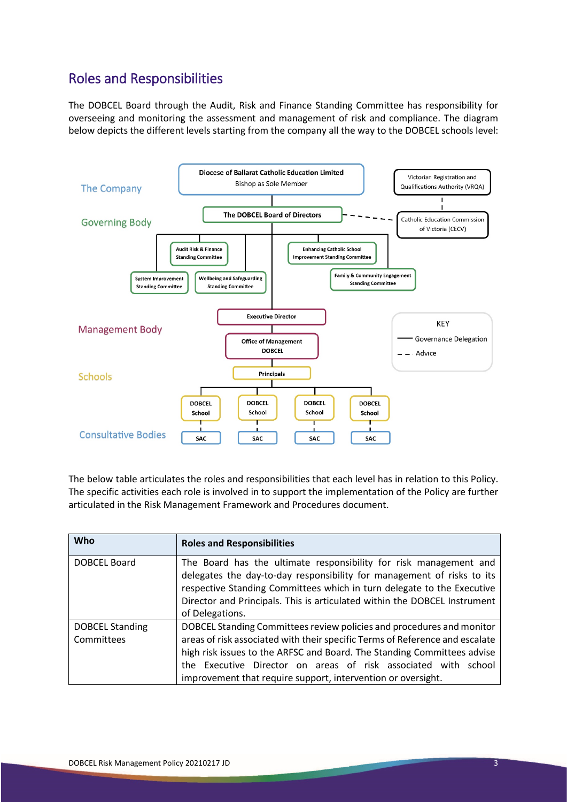# Roles and Responsibilities

The DOBCEL Board through the Audit, Risk and Finance Standing Committee has responsibility for overseeing and monitoring the assessment and management of risk and compliance. The diagram below depicts the different levels starting from the company all the way to the DOBCEL schools level:



The below table articulates the roles and responsibilities that each level has in relation to this Policy. The specific activities each role is involved in to support the implementation of the Policy are further articulated in the Risk Management Framework and Procedures document.

| <b>Who</b>             | <b>Roles and Responsibilities</b>                                                                                                                                                                                                                                                                                     |
|------------------------|-----------------------------------------------------------------------------------------------------------------------------------------------------------------------------------------------------------------------------------------------------------------------------------------------------------------------|
| DOBCEL Board           | The Board has the ultimate responsibility for risk management and<br>delegates the day-to-day responsibility for management of risks to its<br>respective Standing Committees which in turn delegate to the Executive<br>Director and Principals. This is articulated within the DOBCEL Instrument<br>of Delegations. |
| <b>DOBCEL Standing</b> | DOBCEL Standing Committees review policies and procedures and monitor                                                                                                                                                                                                                                                 |
| Committees             | areas of risk associated with their specific Terms of Reference and escalate<br>high risk issues to the ARFSC and Board. The Standing Committees advise                                                                                                                                                               |
|                        | the Executive Director on areas of risk associated with school                                                                                                                                                                                                                                                        |
|                        | improvement that require support, intervention or oversight.                                                                                                                                                                                                                                                          |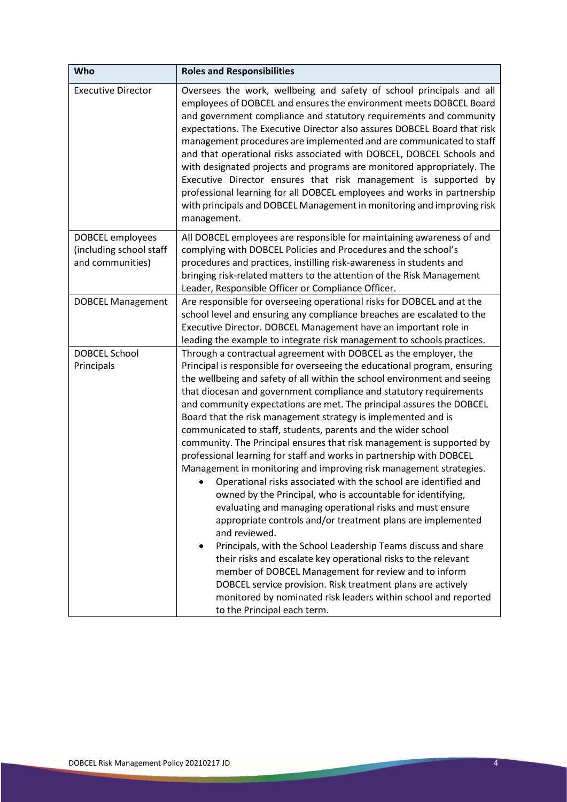| Who                                                             | <b>Roles and Responsibilities</b>                                                                                                                                                                                                                                                                                                                                                                                                                                                                                                                                                                                                                                                                                                                                                                                                                                                                                                                                                                                                                                                                                                                                                                                                                                                                                                                                                        |
|-----------------------------------------------------------------|------------------------------------------------------------------------------------------------------------------------------------------------------------------------------------------------------------------------------------------------------------------------------------------------------------------------------------------------------------------------------------------------------------------------------------------------------------------------------------------------------------------------------------------------------------------------------------------------------------------------------------------------------------------------------------------------------------------------------------------------------------------------------------------------------------------------------------------------------------------------------------------------------------------------------------------------------------------------------------------------------------------------------------------------------------------------------------------------------------------------------------------------------------------------------------------------------------------------------------------------------------------------------------------------------------------------------------------------------------------------------------------|
| <b>Executive Director</b>                                       | Oversees the work, wellbeing and safety of school principals and all<br>employees of DOBCEL and ensures the environment meets DOBCEL Board<br>and government compliance and statutory requirements and community<br>expectations. The Executive Director also assures DOBCEL Board that risk<br>management procedures are implemented and are communicated to staff<br>and that operational risks associated with DOBCEL, DOBCEL Schools and<br>with designated projects and programs are monitored appropriately. The<br>Executive Director ensures that risk management is supported by<br>professional learning for all DOBCEL employees and works in partnership<br>with principals and DOBCEL Management in monitoring and improving risk<br>management.                                                                                                                                                                                                                                                                                                                                                                                                                                                                                                                                                                                                                            |
| DOBCEL employees<br>(including school staff<br>and communities) | All DOBCEL employees are responsible for maintaining awareness of and<br>complying with DOBCEL Policies and Procedures and the school's<br>procedures and practices, instilling risk-awareness in students and<br>bringing risk-related matters to the attention of the Risk Management<br>Leader, Responsible Officer or Compliance Officer.                                                                                                                                                                                                                                                                                                                                                                                                                                                                                                                                                                                                                                                                                                                                                                                                                                                                                                                                                                                                                                            |
| <b>DOBCEL Management</b>                                        | Are responsible for overseeing operational risks for DOBCEL and at the<br>school level and ensuring any compliance breaches are escalated to the<br>Executive Director. DOBCEL Management have an important role in<br>leading the example to integrate risk management to schools practices.                                                                                                                                                                                                                                                                                                                                                                                                                                                                                                                                                                                                                                                                                                                                                                                                                                                                                                                                                                                                                                                                                            |
| <b>DOBCEL School</b><br>Principals                              | Through a contractual agreement with DOBCEL as the employer, the<br>Principal is responsible for overseeing the educational program, ensuring<br>the wellbeing and safety of all within the school environment and seeing<br>that diocesan and government compliance and statutory requirements<br>and community expectations are met. The principal assures the DOBCEL<br>Board that the risk management strategy is implemented and is<br>communicated to staff, students, parents and the wider school<br>community. The Principal ensures that risk management is supported by<br>professional learning for staff and works in partnership with DOBCEL<br>Management in monitoring and improving risk management strategies.<br>Operational risks associated with the school are identified and<br>owned by the Principal, who is accountable for identifying,<br>evaluating and managing operational risks and must ensure<br>appropriate controls and/or treatment plans are implemented<br>and reviewed.<br>Principals, with the School Leadership Teams discuss and share<br>$\bullet$<br>their risks and escalate key operational risks to the relevant<br>member of DOBCEL Management for review and to inform<br>DOBCEL service provision. Risk treatment plans are actively<br>monitored by nominated risk leaders within school and reported<br>to the Principal each term. |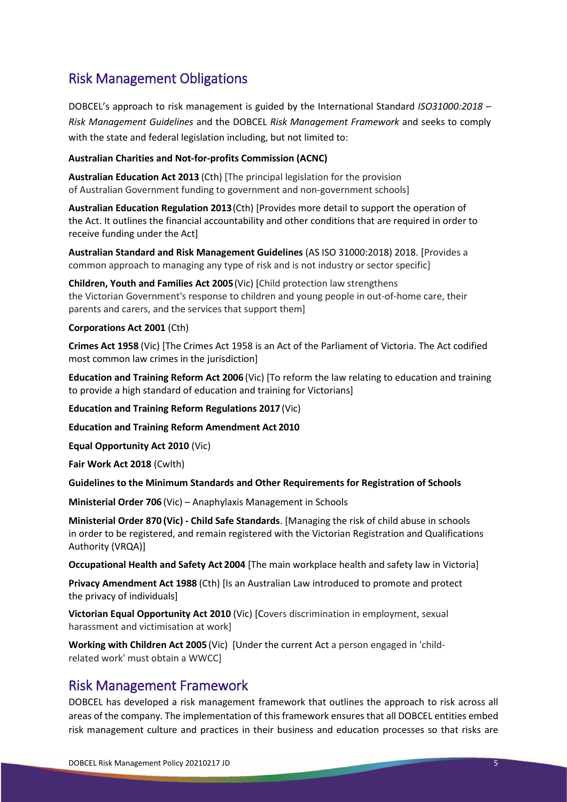## Risk Management Obligations

DOBCEL's approach to risk management is guided by the International Standard *ISO31000:2018 – Risk Management Guidelines* and the DOBCEL *Risk Management Framework* and seeks to comply with the state and federal legislation including, but not limited to:

#### **Australian Charities and Not-for-profits Commission (ACNC)**

**Australian Education Act 2013** (Cth) [The principal legislation for the provision of Australian Government funding to government and non-government schools]

**Australian Education Regulation 2013**(Cth) [Provides more detail to support the operation of the Act. It outlines the financial accountability and other conditions that are required in order to receive funding under the Act]

**Australian Standard and Risk Management Guidelines** (AS ISO 31000:2018) 2018. [Provides a common approach to managing any type of risk and is not industry or sector specific]

**Children, Youth and Families Act 2005**(Vic) [Child protection law strengthens the Victorian Government's response to children and young people in out-of-home care, their parents and carers, and the services that support them]

#### **Corporations Act 2001** (Cth)

**Crimes Act 1958** (Vic) [The Crimes Act 1958 is an Act of the Parliament of Victoria. The Act codified most common law crimes in the jurisdiction]

**Education and Training Reform Act 2006** (Vic) [To reform the law relating to education and training to provide a high standard of education and training for Victorians]

**Education and Training Reform Regulations 2017** (Vic)

**Education and Training Reform Amendment Act 2010**

**Equal Opportunity Act 2010** (Vic)

**Fair Work Act 2018** (Cwlth)

**Guidelines to the Minimum Standards and Other Requirements for Registration of Schools** 

**Ministerial Order 706** (Vic) – Anaphylaxis Management in Schools

**Ministerial Order 870 (Vic) - Child Safe Standards**. [Managing the risk of child abuse in schools in order to be registered, and remain registered with the Victorian Registration and Qualifications Authority (VRQA)]

**Occupational Health and Safety Act 2004** [The main workplace health and safety law in Victoria]

**Privacy Amendment Act 1988** (Cth) [Is an Australian Law introduced to promote and protect the privacy of individuals]

**Victorian Equal Opportunity Act 2010** (Vic) [Covers discrimination in employment, sexual harassment and victimisation at work]

**Working with Children Act 2005** (Vic) [Under the current Act a person engaged in 'childrelated work' must obtain a WWCC]

#### Risk Management Framework

DOBCEL has developed a risk management framework that outlines the approach to risk across all areas of the company. The implementation of this framework ensures that all DOBCEL entities embed risk management culture and practices in their business and education processes so that risks are